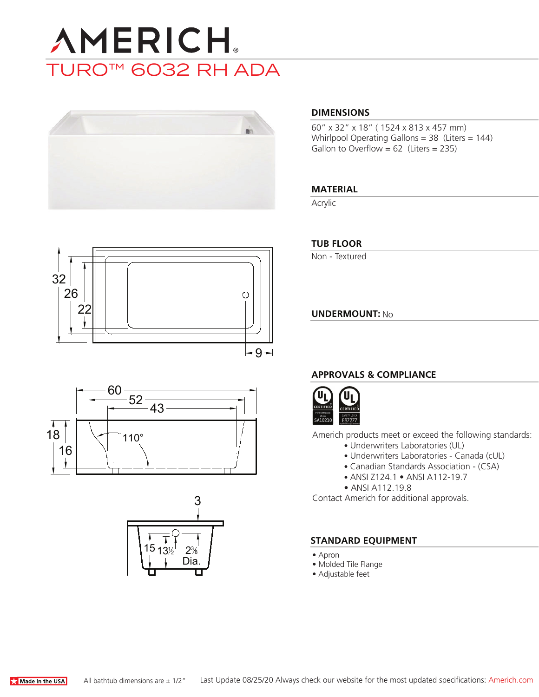# **AMERICH** TURO™ 6032 RH ADA



#### **DIMENSIONS**

60" x 32" x 18" ( 1524 x 813 x 457 mm) Whirlpool Operating Gallons = 38 (Liters = 144) Gallon to Overflow =  $62$  (Liters = 235)

#### **MATERIAL**

Acrylic







#### **TUB FLOOR**

Non - Textured

**UNDERMOUNT:** No

#### **APPROVALS & COMPLIANCE**



Americh products meet or exceed the following standards:

- Underwriters Laboratories (UL)
- Underwriters Laboratories Canada (cUL)
- Canadian Standards Association (CSA)
- ANSI Z124.1 ANSI A112-19.7
- ANSI A112.19.8

Contact Americh for additional approvals.

#### **STANDARD EQUIPMENT**

- Apron
- Molded Tile Flange
- Adjustable feet